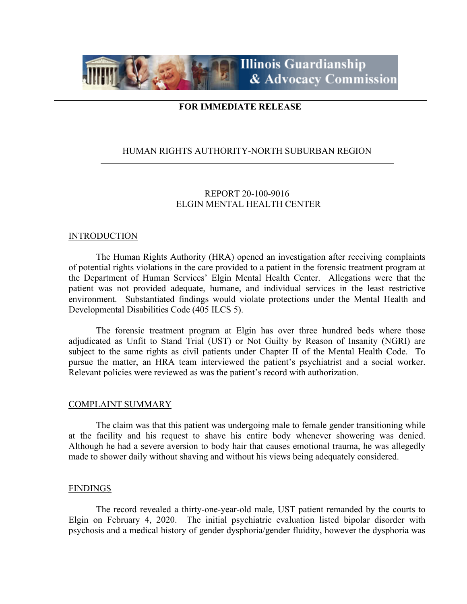

# **FOR IMMEDIATE RELEASE**

# HUMAN RIGHTS AUTHORITY-NORTH SUBURBAN REGION

# REPORT 20-100-9016 ELGIN MENTAL HEALTH CENTER

## **INTRODUCTION**

The Human Rights Authority (HRA) opened an investigation after receiving complaints of potential rights violations in the care provided to a patient in the forensic treatment program at the Department of Human Services' Elgin Mental Health Center. Allegations were that the patient was not provided adequate, humane, and individual services in the least restrictive environment. Substantiated findings would violate protections under the Mental Health and Developmental Disabilities Code (405 ILCS 5).

The forensic treatment program at Elgin has over three hundred beds where those adjudicated as Unfit to Stand Trial (UST) or Not Guilty by Reason of Insanity (NGRI) are subject to the same rights as civil patients under Chapter II of the Mental Health Code. To pursue the matter, an HRA team interviewed the patient's psychiatrist and a social worker. Relevant policies were reviewed as was the patient's record with authorization.

#### COMPLAINT SUMMARY

The claim was that this patient was undergoing male to female gender transitioning while at the facility and his request to shave his entire body whenever showering was denied. Although he had a severe aversion to body hair that causes emotional trauma, he was allegedly made to shower daily without shaving and without his views being adequately considered.

## **FINDINGS**

The record revealed a thirty-one-year-old male, UST patient remanded by the courts to Elgin on February 4, 2020. The initial psychiatric evaluation listed bipolar disorder with psychosis and a medical history of gender dysphoria/gender fluidity, however the dysphoria was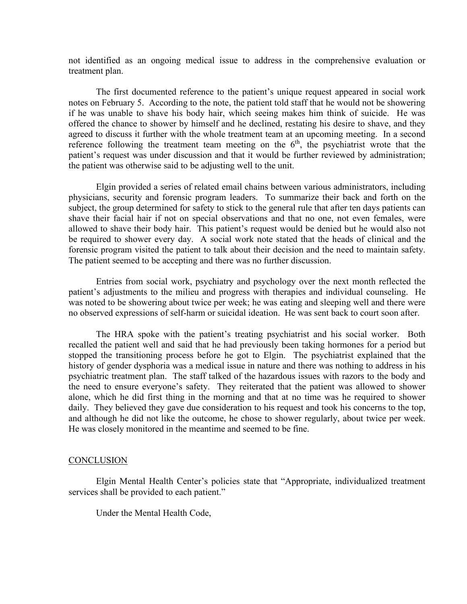not identified as an ongoing medical issue to address in the comprehensive evaluation or treatment plan.

The first documented reference to the patient's unique request appeared in social work notes on February 5. According to the note, the patient told staff that he would not be showering if he was unable to shave his body hair, which seeing makes him think of suicide. He was offered the chance to shower by himself and he declined, restating his desire to shave, and they agreed to discuss it further with the whole treatment team at an upcoming meeting. In a second reference following the treatment team meeting on the  $6<sup>th</sup>$ , the psychiatrist wrote that the patient's request was under discussion and that it would be further reviewed by administration; the patient was otherwise said to be adjusting well to the unit.

Elgin provided a series of related email chains between various administrators, including physicians, security and forensic program leaders. To summarize their back and forth on the subject, the group determined for safety to stick to the general rule that after ten days patients can shave their facial hair if not on special observations and that no one, not even females, were allowed to shave their body hair. This patient's request would be denied but he would also not be required to shower every day. A social work note stated that the heads of clinical and the forensic program visited the patient to talk about their decision and the need to maintain safety. The patient seemed to be accepting and there was no further discussion.

Entries from social work, psychiatry and psychology over the next month reflected the patient's adjustments to the milieu and progress with therapies and individual counseling. He was noted to be showering about twice per week; he was eating and sleeping well and there were no observed expressions of self-harm or suicidal ideation. He was sent back to court soon after.

The HRA spoke with the patient's treating psychiatrist and his social worker. Both recalled the patient well and said that he had previously been taking hormones for a period but stopped the transitioning process before he got to Elgin. The psychiatrist explained that the history of gender dysphoria was a medical issue in nature and there was nothing to address in his psychiatric treatment plan. The staff talked of the hazardous issues with razors to the body and the need to ensure everyone's safety. They reiterated that the patient was allowed to shower alone, which he did first thing in the morning and that at no time was he required to shower daily. They believed they gave due consideration to his request and took his concerns to the top, and although he did not like the outcome, he chose to shower regularly, about twice per week. He was closely monitored in the meantime and seemed to be fine.

#### CONCLUSION

Elgin Mental Health Center's policies state that "Appropriate, individualized treatment services shall be provided to each patient."

Under the Mental Health Code,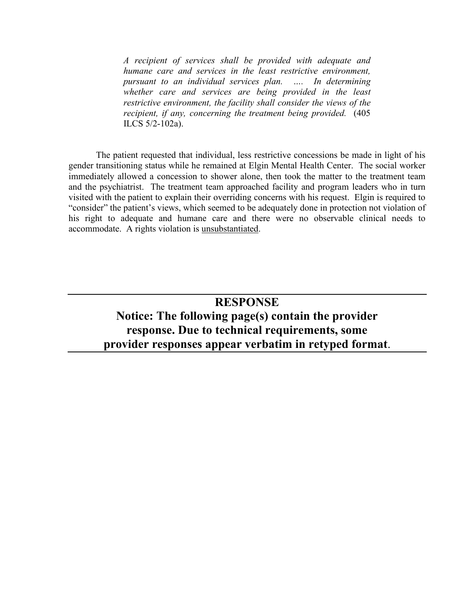*A recipient of services shall be provided with adequate and humane care and services in the least restrictive environment, pursuant to an individual services plan. …. In determining whether care and services are being provided in the least restrictive environment, the facility shall consider the views of the recipient, if any, concerning the treatment being provided.* (405 ILCS 5/2-102a).

The patient requested that individual, less restrictive concessions be made in light of his gender transitioning status while he remained at Elgin Mental Health Center. The social worker immediately allowed a concession to shower alone, then took the matter to the treatment team and the psychiatrist. The treatment team approached facility and program leaders who in turn visited with the patient to explain their overriding concerns with his request. Elgin is required to "consider" the patient's views, which seemed to be adequately done in protection not violation of his right to adequate and humane care and there were no observable clinical needs to accommodate. A rights violation is unsubstantiated.

# **RESPONSE Notice: The following page(s) contain the provider response. Due to technical requirements, some provider responses appear verbatim in retyped format**.